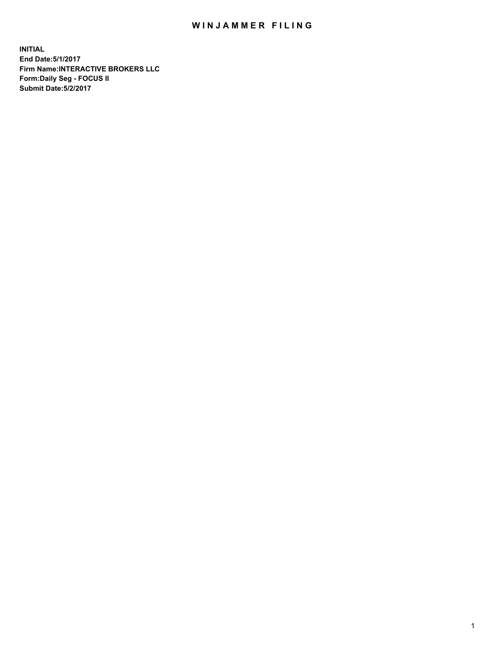## WIN JAMMER FILING

**INITIAL End Date:5/1/2017 Firm Name:INTERACTIVE BROKERS LLC Form:Daily Seg - FOCUS II Submit Date:5/2/2017**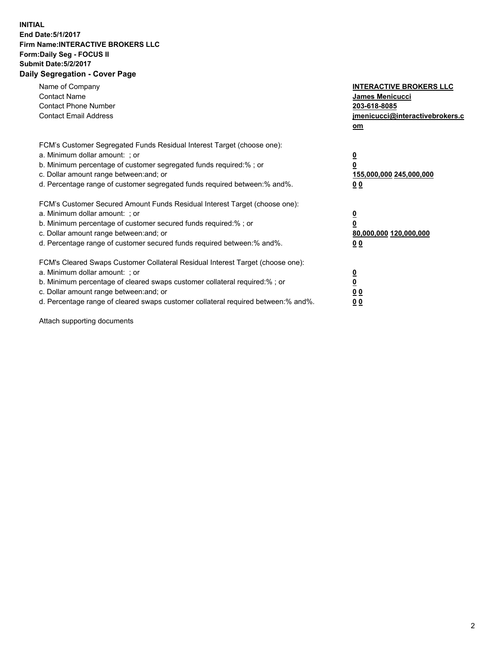## **INITIAL End Date:5/1/2017 Firm Name:INTERACTIVE BROKERS LLC Form:Daily Seg - FOCUS II Submit Date:5/2/2017 Daily Segregation - Cover Page**

| Name of Company<br><b>Contact Name</b><br><b>Contact Phone Number</b><br><b>Contact Email Address</b>                                                                                                                                                                                                                          | <b>INTERACTIVE BROKERS LLC</b><br><b>James Menicucci</b><br>203-618-8085<br>jmenicucci@interactivebrokers.c<br>om |
|--------------------------------------------------------------------------------------------------------------------------------------------------------------------------------------------------------------------------------------------------------------------------------------------------------------------------------|-------------------------------------------------------------------------------------------------------------------|
| FCM's Customer Segregated Funds Residual Interest Target (choose one):<br>a. Minimum dollar amount: ; or<br>b. Minimum percentage of customer segregated funds required:% ; or<br>c. Dollar amount range between: and; or<br>d. Percentage range of customer segregated funds required between: % and %.                       | $\overline{\mathbf{0}}$<br>0<br>155,000,000 245,000,000<br>00                                                     |
| FCM's Customer Secured Amount Funds Residual Interest Target (choose one):<br>a. Minimum dollar amount: ; or<br>b. Minimum percentage of customer secured funds required:%; or<br>c. Dollar amount range between: and; or<br>d. Percentage range of customer secured funds required between: % and %.                          | $\overline{\mathbf{0}}$<br>0<br>80,000,000 120,000,000<br>0 <sub>0</sub>                                          |
| FCM's Cleared Swaps Customer Collateral Residual Interest Target (choose one):<br>a. Minimum dollar amount: ; or<br>b. Minimum percentage of cleared swaps customer collateral required:% ; or<br>c. Dollar amount range between: and; or<br>d. Percentage range of cleared swaps customer collateral required between:% and%. | $\overline{\mathbf{0}}$<br>$\underline{\mathbf{0}}$<br>0 <sub>0</sub><br>0 <sub>0</sub>                           |

Attach supporting documents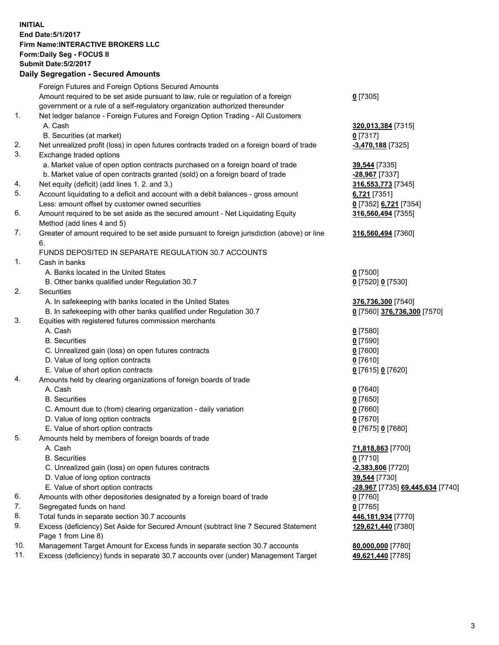## **INITIAL End Date:5/1/2017 Firm Name:INTERACTIVE BROKERS LLC Form:Daily Seg - FOCUS II Submit Date:5/2/2017 Daily Segregation - Secured Amounts**

|     | Foreign Futures and Foreign Options Secured Amounts                                         |                                  |
|-----|---------------------------------------------------------------------------------------------|----------------------------------|
|     | Amount required to be set aside pursuant to law, rule or regulation of a foreign            | $0$ [7305]                       |
|     | government or a rule of a self-regulatory organization authorized thereunder                |                                  |
| 1.  | Net ledger balance - Foreign Futures and Foreign Option Trading - All Customers             |                                  |
|     | A. Cash                                                                                     | 320,013,384 [7315]               |
|     | B. Securities (at market)                                                                   | $0$ [7317]                       |
| 2.  | Net unrealized profit (loss) in open futures contracts traded on a foreign board of trade   | -3,470,188 [7325]                |
| 3.  | Exchange traded options                                                                     |                                  |
|     | a. Market value of open option contracts purchased on a foreign board of trade              | 39,544 [7335]                    |
|     | b. Market value of open contracts granted (sold) on a foreign board of trade                | -28,967 [7337]                   |
| 4.  | Net equity (deficit) (add lines 1. 2. and 3.)                                               | 316,553,773 [7345]               |
| 5.  | Account liquidating to a deficit and account with a debit balances - gross amount           | 6,721 [7351]                     |
|     |                                                                                             |                                  |
| 6.  | Less: amount offset by customer owned securities                                            | 0 [7352] 6,721 [7354]            |
|     | Amount required to be set aside as the secured amount - Net Liquidating Equity              | 316,560,494 [7355]               |
|     | Method (add lines 4 and 5)                                                                  |                                  |
| 7.  | Greater of amount required to be set aside pursuant to foreign jurisdiction (above) or line | 316,560,494 [7360]               |
|     | 6.                                                                                          |                                  |
|     | FUNDS DEPOSITED IN SEPARATE REGULATION 30.7 ACCOUNTS                                        |                                  |
| 1.  | Cash in banks                                                                               |                                  |
|     | A. Banks located in the United States                                                       | $0$ [7500]                       |
|     | B. Other banks qualified under Regulation 30.7                                              | 0 [7520] 0 [7530]                |
| 2.  | Securities                                                                                  |                                  |
|     | A. In safekeeping with banks located in the United States                                   | 376,736,300 [7540]               |
|     | B. In safekeeping with other banks qualified under Regulation 30.7                          | 0 [7560] 376,736,300 [7570]      |
| 3.  | Equities with registered futures commission merchants                                       |                                  |
|     | A. Cash                                                                                     | $0$ [7580]                       |
|     | <b>B.</b> Securities                                                                        | $0$ [7590]                       |
|     | C. Unrealized gain (loss) on open futures contracts                                         | $0$ [7600]                       |
|     | D. Value of long option contracts                                                           | $0$ [7610]                       |
|     | E. Value of short option contracts                                                          | 0 [7615] 0 [7620]                |
| 4.  | Amounts held by clearing organizations of foreign boards of trade                           |                                  |
|     | A. Cash                                                                                     | $0$ [7640]                       |
|     | <b>B.</b> Securities                                                                        | $0$ [7650]                       |
|     | C. Amount due to (from) clearing organization - daily variation                             | $0$ [7660]                       |
|     | D. Value of long option contracts                                                           | $0$ [7670]                       |
|     | E. Value of short option contracts                                                          | 0 [7675] 0 [7680]                |
| 5.  | Amounts held by members of foreign boards of trade                                          |                                  |
|     | A. Cash                                                                                     | 71,818,863 [7700]                |
|     | <b>B.</b> Securities                                                                        | $0$ [7710]                       |
|     | C. Unrealized gain (loss) on open futures contracts                                         | -2,383,806 [7720]                |
|     | D. Value of long option contracts                                                           | 39,544 [7730]                    |
|     | E. Value of short option contracts                                                          | -28,967 [7735] 69,445,634 [7740] |
| 6.  | Amounts with other depositories designated by a foreign board of trade                      | 0 [7760]                         |
| 7.  | Segregated funds on hand                                                                    | $0$ [7765]                       |
| 8.  | Total funds in separate section 30.7 accounts                                               | 446,181,934 [7770]               |
| 9.  | Excess (deficiency) Set Aside for Secured Amount (subtract line 7 Secured Statement         | 129,621,440 [7380]               |
|     | Page 1 from Line 8)                                                                         |                                  |
| 10. | Management Target Amount for Excess funds in separate section 30.7 accounts                 | 80,000,000 [7780]                |
| 11. | Excess (deficiency) funds in separate 30.7 accounts over (under) Management Target          | 49,621,440 [7785]                |
|     |                                                                                             |                                  |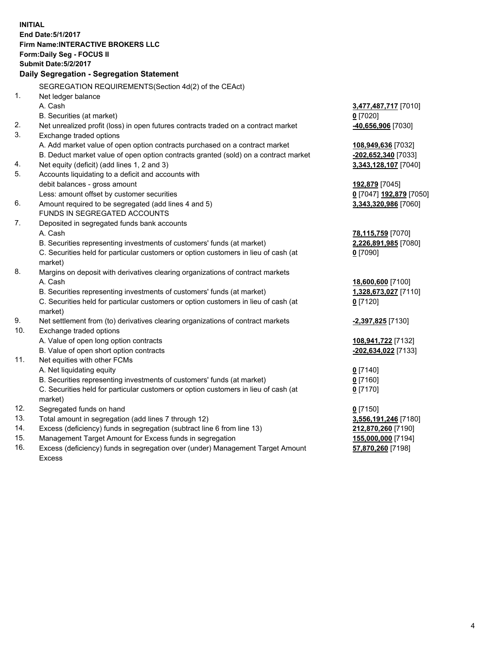**INITIAL End Date:5/1/2017 Firm Name:INTERACTIVE BROKERS LLC Form:Daily Seg - FOCUS II Submit Date:5/2/2017 Daily Segregation - Segregation Statement** SEGREGATION REQUIREMENTS(Section 4d(2) of the CEAct) 1. Net ledger balance A. Cash **3,477,487,717** [7010] B. Securities (at market) **0** [7020] 2. Net unrealized profit (loss) in open futures contracts traded on a contract market **-40,656,906** [7030] 3. Exchange traded options A. Add market value of open option contracts purchased on a contract market **108,949,636** [7032] B. Deduct market value of open option contracts granted (sold) on a contract market **-202,652,340** [7033] 4. Net equity (deficit) (add lines 1, 2 and 3) **3,343,128,107** [7040] 5. Accounts liquidating to a deficit and accounts with debit balances - gross amount **192,879** [7045] Less: amount offset by customer securities **0** [7047] **192,879** [7050] 6. Amount required to be segregated (add lines 4 and 5) **3,343,320,986** [7060] FUNDS IN SEGREGATED ACCOUNTS 7. Deposited in segregated funds bank accounts A. Cash **78,115,759** [7070] B. Securities representing investments of customers' funds (at market) **2,226,891,985** [7080] C. Securities held for particular customers or option customers in lieu of cash (at market) **0** [7090] 8. Margins on deposit with derivatives clearing organizations of contract markets A. Cash **18,600,600** [7100] B. Securities representing investments of customers' funds (at market) **1,328,673,027** [7110] C. Securities held for particular customers or option customers in lieu of cash (at market) **0** [7120] 9. Net settlement from (to) derivatives clearing organizations of contract markets **-2,397,825** [7130] 10. Exchange traded options A. Value of open long option contracts **108,941,722** [7132] B. Value of open short option contracts **-202,634,022** [7133] 11. Net equities with other FCMs A. Net liquidating equity **0** [7140] B. Securities representing investments of customers' funds (at market) **0** [7160] C. Securities held for particular customers or option customers in lieu of cash (at market) **0** [7170] 12. Segregated funds on hand **0** [7150] 13. Total amount in segregation (add lines 7 through 12) **3,556,191,246** [7180] 14. Excess (deficiency) funds in segregation (subtract line 6 from line 13) **212,870,260** [7190] 15. Management Target Amount for Excess funds in segregation **155,000,000** [7194] **57,870,260** [7198]

16. Excess (deficiency) funds in segregation over (under) Management Target Amount Excess